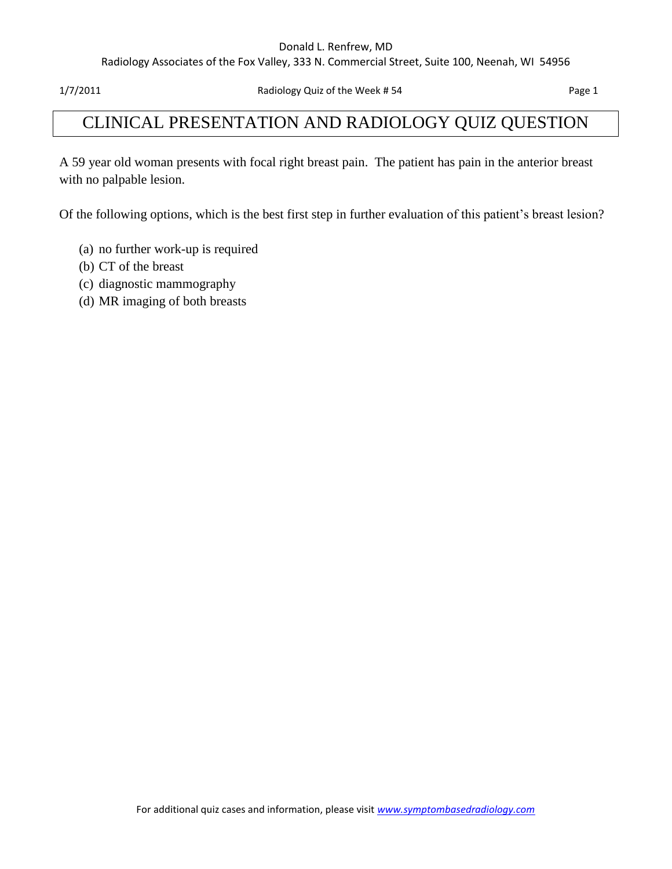#### Donald L. Renfrew, MD

Radiology Associates of the Fox Valley, 333 N. Commercial Street, Suite 100, Neenah, WI 54956

## CLINICAL PRESENTATION AND RADIOLOGY QUIZ QUESTION

A 59 year old woman presents with focal right breast pain. The patient has pain in the anterior breast with no palpable lesion.

Of the following options, which is the best first step in further evaluation of this patient's breast lesion?

- (a) no further work-up is required
- (b) CT of the breast
- (c) diagnostic mammography
- (d) MR imaging of both breasts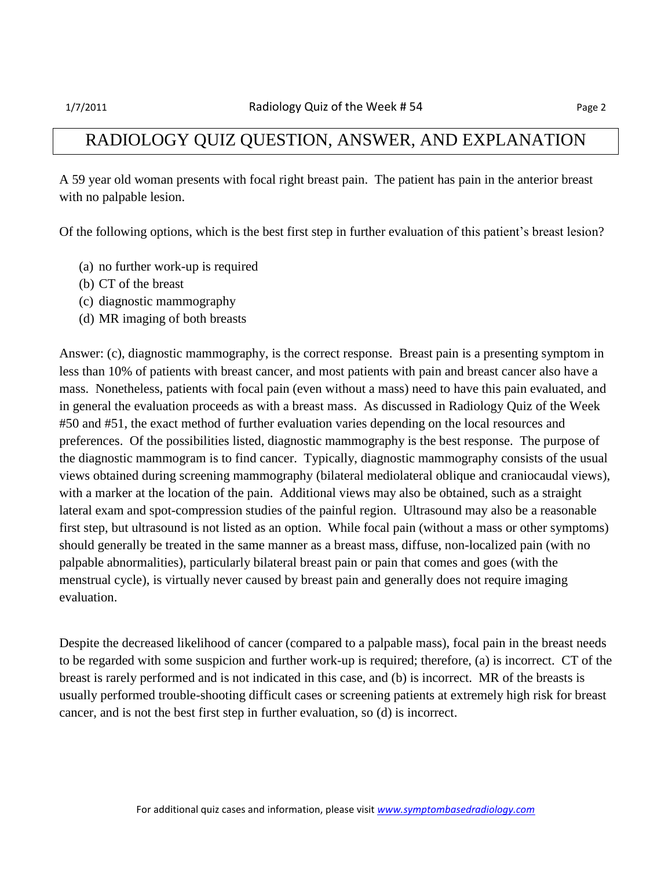## RADIOLOGY QUIZ QUESTION, ANSWER, AND EXPLANATION

A 59 year old woman presents with focal right breast pain. The patient has pain in the anterior breast with no palpable lesion.

Of the following options, which is the best first step in further evaluation of this patient's breast lesion?

- (a) no further work-up is required
- (b) CT of the breast
- (c) diagnostic mammography
- (d) MR imaging of both breasts

Answer: (c), diagnostic mammography, is the correct response. Breast pain is a presenting symptom in less than 10% of patients with breast cancer, and most patients with pain and breast cancer also have a mass. Nonetheless, patients with focal pain (even without a mass) need to have this pain evaluated, and in general the evaluation proceeds as with a breast mass. As discussed in Radiology Quiz of the Week #50 and #51, the exact method of further evaluation varies depending on the local resources and preferences. Of the possibilities listed, diagnostic mammography is the best response. The purpose of the diagnostic mammogram is to find cancer. Typically, diagnostic mammography consists of the usual views obtained during screening mammography (bilateral mediolateral oblique and craniocaudal views), with a marker at the location of the pain. Additional views may also be obtained, such as a straight lateral exam and spot-compression studies of the painful region. Ultrasound may also be a reasonable first step, but ultrasound is not listed as an option. While focal pain (without a mass or other symptoms) should generally be treated in the same manner as a breast mass, diffuse, non-localized pain (with no palpable abnormalities), particularly bilateral breast pain or pain that comes and goes (with the menstrual cycle), is virtually never caused by breast pain and generally does not require imaging evaluation.

Despite the decreased likelihood of cancer (compared to a palpable mass), focal pain in the breast needs to be regarded with some suspicion and further work-up is required; therefore, (a) is incorrect. CT of the breast is rarely performed and is not indicated in this case, and (b) is incorrect. MR of the breasts is usually performed trouble-shooting difficult cases or screening patients at extremely high risk for breast cancer, and is not the best first step in further evaluation, so (d) is incorrect.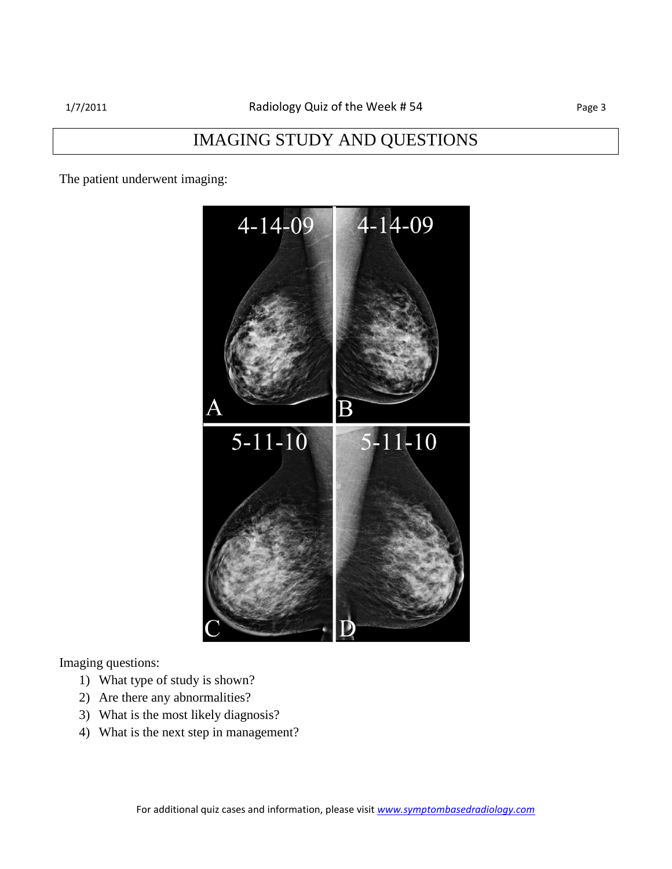## IMAGING STUDY AND QUESTIONS

The patient underwent imaging:



Imaging questions:

- 1) What type of study is shown?
- 2) Are there any abnormalities?
- 3) What is the most likely diagnosis?
- 4) What is the next step in management?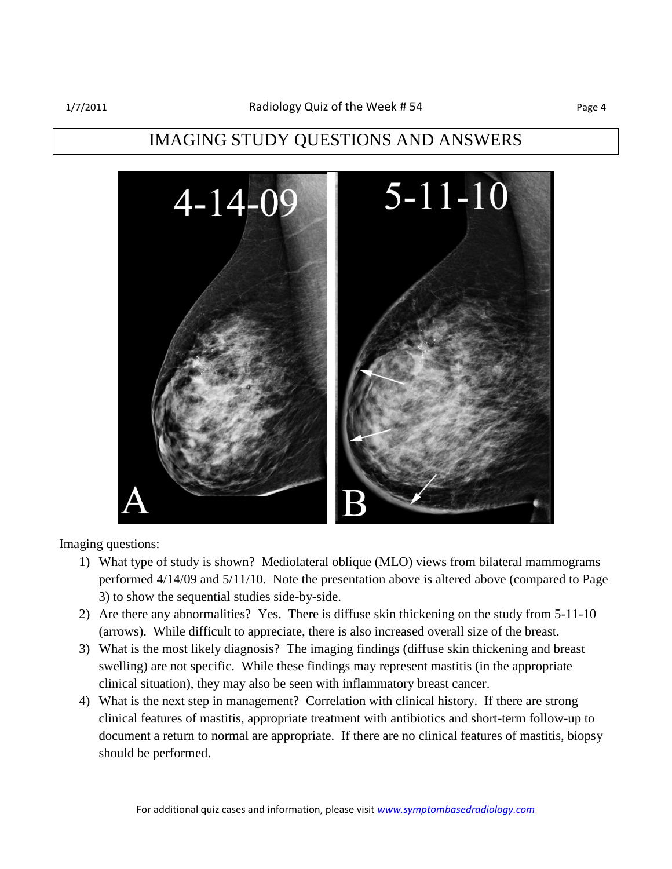## IMAGING STUDY QUESTIONS AND ANSWERS



Imaging questions:

- 1) What type of study is shown? Mediolateral oblique (MLO) views from bilateral mammograms performed 4/14/09 and 5/11/10. Note the presentation above is altered above (compared to Page 3) to show the sequential studies side-by-side.
- 2) Are there any abnormalities? Yes. There is diffuse skin thickening on the study from 5-11-10 (arrows). While difficult to appreciate, there is also increased overall size of the breast.
- 3) What is the most likely diagnosis? The imaging findings (diffuse skin thickening and breast swelling) are not specific. While these findings may represent mastitis (in the appropriate clinical situation), they may also be seen with inflammatory breast cancer.
- 4) What is the next step in management? Correlation with clinical history. If there are strong clinical features of mastitis, appropriate treatment with antibiotics and short-term follow-up to document a return to normal are appropriate. If there are no clinical features of mastitis, biopsy should be performed.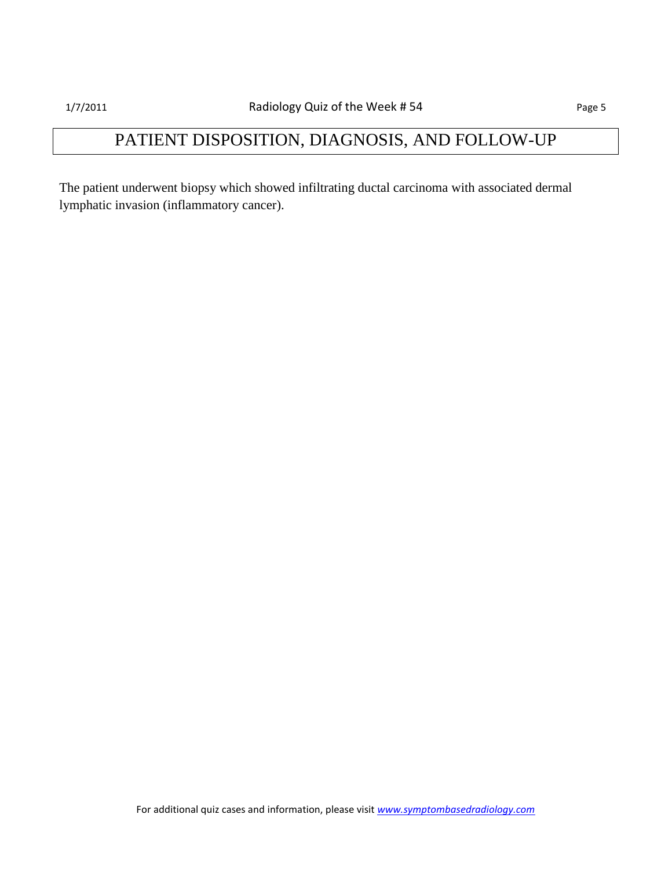# PATIENT DISPOSITION, DIAGNOSIS, AND FOLLOW-UP

The patient underwent biopsy which showed infiltrating ductal carcinoma with associated dermal lymphatic invasion (inflammatory cancer).